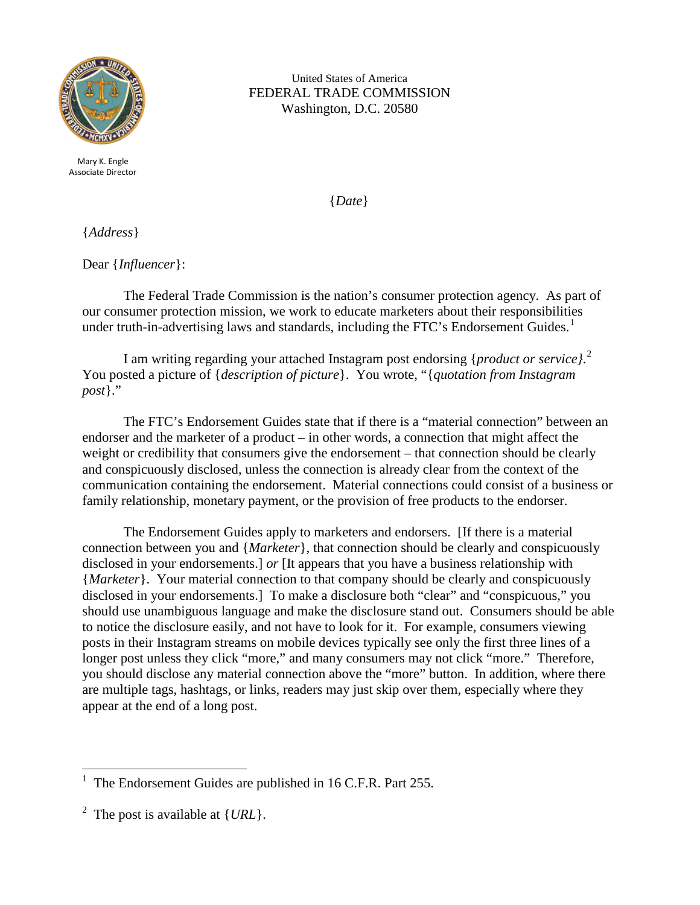

Mary K. Engle Associate Director

United States of America FEDERAL TRADE COMMISSION Washington, D.C. 20580

{*Date*}

{*Address*}

Dear {*Influencer*}:

The Federal Trade Commission is the nation's consumer protection agency. As part of our consumer protection mission, we work to educate marketers about their responsibilities under truth-in-advertising laws and standards, including the FTC's Endorsement Guides.<sup>[1](#page-0-0)</sup>

I am writing regarding your attached Instagram post endorsing {*product or service}*. [2](#page-0-1) You posted a picture of {*description of picture*}. You wrote, "{*quotation from Instagram post*}."

The FTC's Endorsement Guides state that if there is a "material connection" between an endorser and the marketer of a product – in other words, a connection that might affect the weight or credibility that consumers give the endorsement – that connection should be clearly and conspicuously disclosed, unless the connection is already clear from the context of the communication containing the endorsement. Material connections could consist of a business or family relationship, monetary payment, or the provision of free products to the endorser.

The Endorsement Guides apply to marketers and endorsers. [If there is a material connection between you and {*Marketer*}, that connection should be clearly and conspicuously disclosed in your endorsements.] *or* [It appears that you have a business relationship with {*Marketer*}. Your material connection to that company should be clearly and conspicuously disclosed in your endorsements.] To make a disclosure both "clear" and "conspicuous," you should use unambiguous language and make the disclosure stand out. Consumers should be able to notice the disclosure easily, and not have to look for it. For example, consumers viewing posts in their Instagram streams on mobile devices typically see only the first three lines of a longer post unless they click "more," and many consumers may not click "more." Therefore, you should disclose any material connection above the "more" button. In addition, where there are multiple tags, hashtags, or links, readers may just skip over them, especially where they appear at the end of a long post.

<span id="page-0-0"></span> $\frac{1}{1}$ The Endorsement Guides are published in 16 C.F.R. Part 255.

<span id="page-0-1"></span><sup>2</sup> The post is available at {*URL*}.